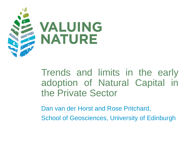

Trends and limits in the early adoption of Natural Capital in the Private Sector

Dan van der Horst and Rose Pritchard, School of Geosciences, University of Edinburgh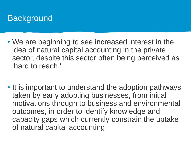# **Background**

- We are beginning to see increased interest in the idea of natural capital accounting in the private sector, despite this sector often being perceived as 'hard to reach.'
- It is important to understand the adoption pathways taken by early adopting businesses, from initial motivations through to business and environmental outcomes, in order to identify knowledge and capacity gaps which currently constrain the uptake of natural capital accounting.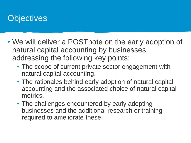# **Objectives**

- We will deliver a POSTnote on the early adoption of natural capital accounting by businesses, addressing the following key points:
	- The scope of current private sector engagement with natural capital accounting.
	- The rationales behind early adoption of natural capital accounting and the associated choice of natural capital metrics.
	- The challenges encountered by early adopting businesses and the additional research or training required to ameliorate these.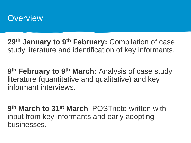

**29th January to 9th February:** Compilation of case study literature and identification of key informants.

**9 th February to 9th March:** Analysis of case study literature (quantitative and qualitative) and key informant interviews.

**9 th March to 31st March**: POSTnote written with input from key informants and early adopting businesses.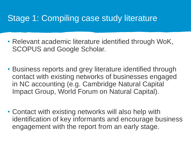### Stage 1: Compiling case study literature

- Relevant academic literature identified through WoK, SCOPUS and Google Scholar.
- Business reports and grey literature identified through contact with existing networks of businesses engaged in NC accounting (e.g. Cambridge Natural Capital Impact Group, World Forum on Natural Capital).
- Contact with existing networks will also help with identification of key informants and encourage business engagement with the report from an early stage.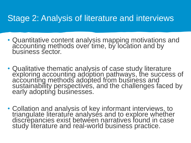#### Stage 2: Analysis of literature and interviews

- Quantitative content analysis mapping motivations and accounting methods over time, by location and by business sector.
- Qualitative thematic analysis of case study literature exploring accounting adoption pathways, the success of accounting methods adopted from business and sustainability perspectives, and the challenges faced by early adopting businesses.
- Collation and analysis of key informant interviews, to triangulate literature analyses and to explore whether discrepancies exist between narratives found in case study literature and real-world business practice.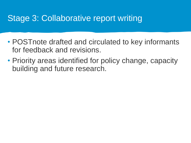#### Stage 3: Collaborative report writing

- POSTnote drafted and circulated to key informants for feedback and revisions.
- Priority areas identified for policy change, capacity building and future research.